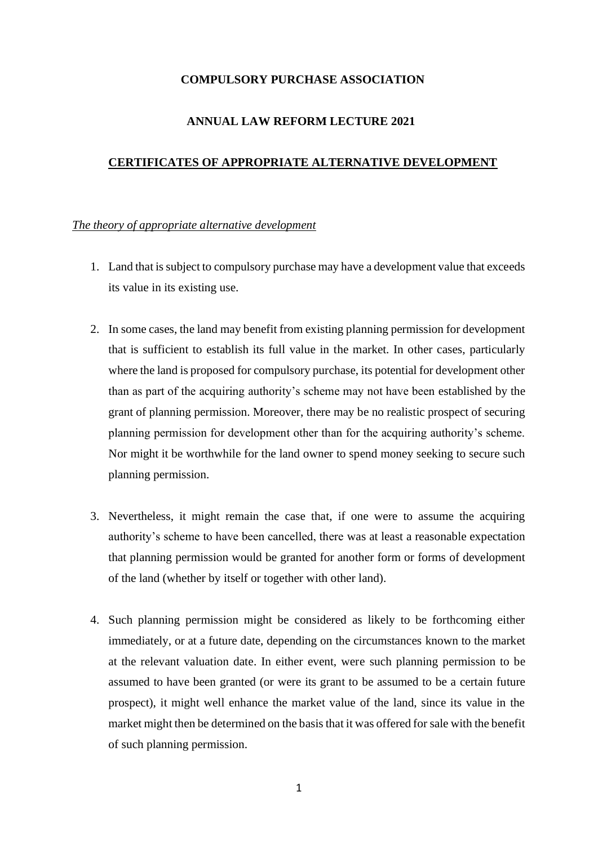## **COMPULSORY PURCHASE ASSOCIATION**

# **ANNUAL LAW REFORM LECTURE 2021**

## **CERTIFICATES OF APPROPRIATE ALTERNATIVE DEVELOPMENT**

## *The theory of appropriate alternative development*

- 1. Land that is subject to compulsory purchase may have a development value that exceeds its value in its existing use.
- 2. In some cases, the land may benefit from existing planning permission for development that is sufficient to establish its full value in the market. In other cases, particularly where the land is proposed for compulsory purchase, its potential for development other than as part of the acquiring authority's scheme may not have been established by the grant of planning permission. Moreover, there may be no realistic prospect of securing planning permission for development other than for the acquiring authority's scheme. Nor might it be worthwhile for the land owner to spend money seeking to secure such planning permission.
- 3. Nevertheless, it might remain the case that, if one were to assume the acquiring authority's scheme to have been cancelled, there was at least a reasonable expectation that planning permission would be granted for another form or forms of development of the land (whether by itself or together with other land).
- 4. Such planning permission might be considered as likely to be forthcoming either immediately, or at a future date, depending on the circumstances known to the market at the relevant valuation date. In either event, were such planning permission to be assumed to have been granted (or were its grant to be assumed to be a certain future prospect), it might well enhance the market value of the land, since its value in the market might then be determined on the basis that it was offered for sale with the benefit of such planning permission.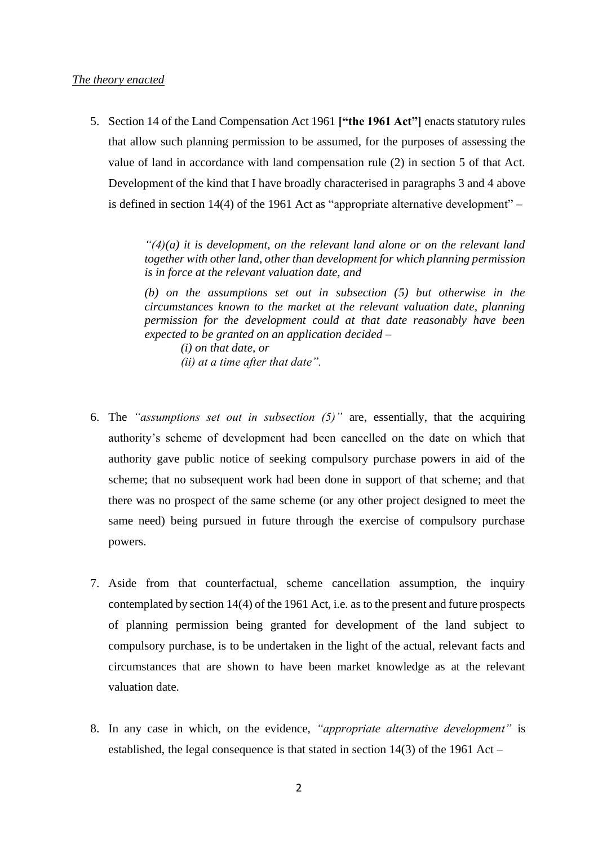5. Section 14 of the Land Compensation Act 1961 **["the 1961 Act"]** enacts statutory rules that allow such planning permission to be assumed, for the purposes of assessing the value of land in accordance with land compensation rule (2) in section 5 of that Act. Development of the kind that I have broadly characterised in paragraphs 3 and 4 above is defined in section 14(4) of the 1961 Act as "appropriate alternative development" –

> *"(4)(a) it is development, on the relevant land alone or on the relevant land together with other land, other than development for which planning permission is in force at the relevant valuation date, and*

> *(b) on the assumptions set out in subsection (5) but otherwise in the circumstances known to the market at the relevant valuation date, planning permission for the development could at that date reasonably have been expected to be granted on an application decided –*

*(i) on that date, or (ii) at a time after that date".*

- 6. The *"assumptions set out in subsection (5)"* are, essentially, that the acquiring authority's scheme of development had been cancelled on the date on which that authority gave public notice of seeking compulsory purchase powers in aid of the scheme; that no subsequent work had been done in support of that scheme; and that there was no prospect of the same scheme (or any other project designed to meet the same need) being pursued in future through the exercise of compulsory purchase powers.
- 7. Aside from that counterfactual, scheme cancellation assumption, the inquiry contemplated by section 14(4) of the 1961 Act, i.e. as to the present and future prospects of planning permission being granted for development of the land subject to compulsory purchase, is to be undertaken in the light of the actual, relevant facts and circumstances that are shown to have been market knowledge as at the relevant valuation date.
- 8. In any case in which, on the evidence, *"appropriate alternative development"* is established, the legal consequence is that stated in section 14(3) of the 1961 Act –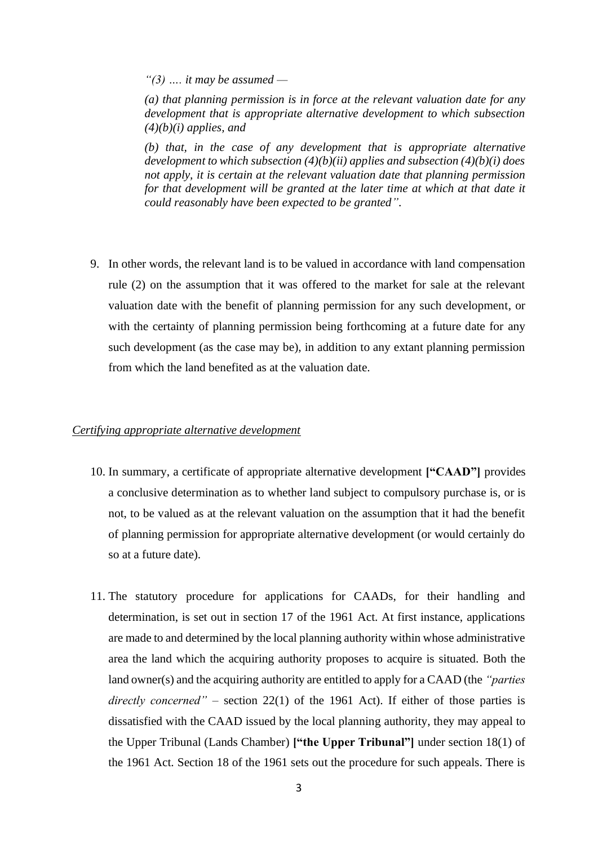*"(3) …. it may be assumed —*

*(a) that planning permission is in force at the relevant valuation date for any development that is appropriate alternative development to which subsection (4)(b)(i) applies, and*

*(b) that, in the case of any development that is appropriate alternative development to which subsection (4)(b)(ii) applies and subsection (4)(b)(i) does not apply, it is certain at the relevant valuation date that planning permission for that development will be granted at the later time at which at that date it could reasonably have been expected to be granted".*

9. In other words, the relevant land is to be valued in accordance with land compensation rule (2) on the assumption that it was offered to the market for sale at the relevant valuation date with the benefit of planning permission for any such development, or with the certainty of planning permission being forthcoming at a future date for any such development (as the case may be), in addition to any extant planning permission from which the land benefited as at the valuation date.

#### *Certifying appropriate alternative development*

- 10. In summary, a certificate of appropriate alternative development **["CAAD"]** provides a conclusive determination as to whether land subject to compulsory purchase is, or is not, to be valued as at the relevant valuation on the assumption that it had the benefit of planning permission for appropriate alternative development (or would certainly do so at a future date).
- 11. The statutory procedure for applications for CAADs, for their handling and determination, is set out in section 17 of the 1961 Act. At first instance, applications are made to and determined by the local planning authority within whose administrative area the land which the acquiring authority proposes to acquire is situated. Both the land owner(s) and the acquiring authority are entitled to apply for a CAAD (the *"parties directly concerned"* – section 22(1) of the 1961 Act). If either of those parties is dissatisfied with the CAAD issued by the local planning authority, they may appeal to the Upper Tribunal (Lands Chamber) **["the Upper Tribunal"]** under section 18(1) of the 1961 Act. Section 18 of the 1961 sets out the procedure for such appeals. There is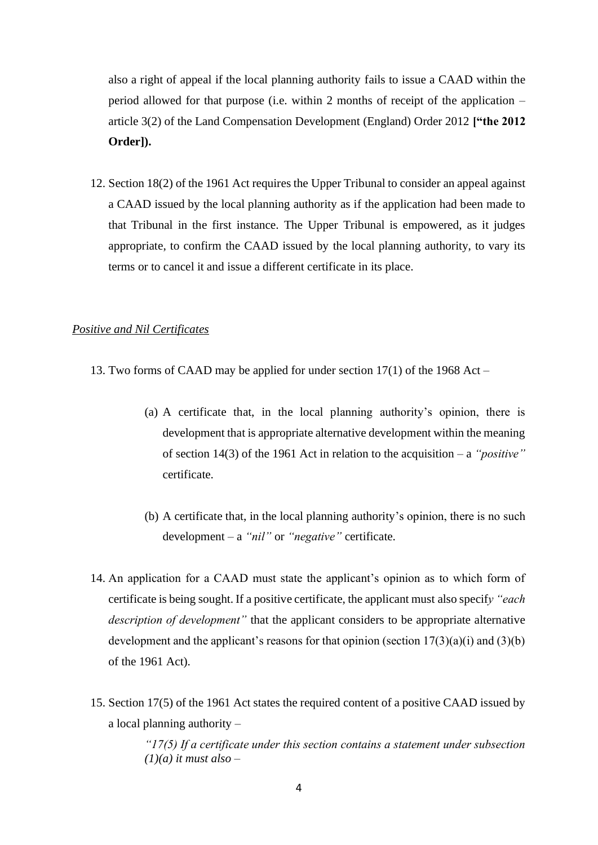also a right of appeal if the local planning authority fails to issue a CAAD within the period allowed for that purpose (i.e. within 2 months of receipt of the application – article 3(2) of the Land Compensation Development (England) Order 2012 **["the 2012 Order]).**

12. Section 18(2) of the 1961 Act requires the Upper Tribunal to consider an appeal against a CAAD issued by the local planning authority as if the application had been made to that Tribunal in the first instance. The Upper Tribunal is empowered, as it judges appropriate, to confirm the CAAD issued by the local planning authority, to vary its terms or to cancel it and issue a different certificate in its place.

#### *Positive and Nil Certificates*

- 13. Two forms of CAAD may be applied for under section 17(1) of the 1968 Act
	- (a) A certificate that, in the local planning authority's opinion, there is development that is appropriate alternative development within the meaning of section 14(3) of the 1961 Act in relation to the acquisition – a *"positive"* certificate.
	- (b) A certificate that, in the local planning authority's opinion, there is no such development – a *"nil"* or *"negative"* certificate.
- 14. An application for a CAAD must state the applicant's opinion as to which form of certificate is being sought. If a positive certificate, the applicant must also specif*y "each description of development"* that the applicant considers to be appropriate alternative development and the applicant's reasons for that opinion (section  $17(3)(a)(i)$  and  $(3)(b)$ of the 1961 Act).
- 15. Section 17(5) of the 1961 Act states the required content of a positive CAAD issued by a local planning authority –

*"17(5) If a certificate under this section contains a statement under subsection (1)(a) it must also –*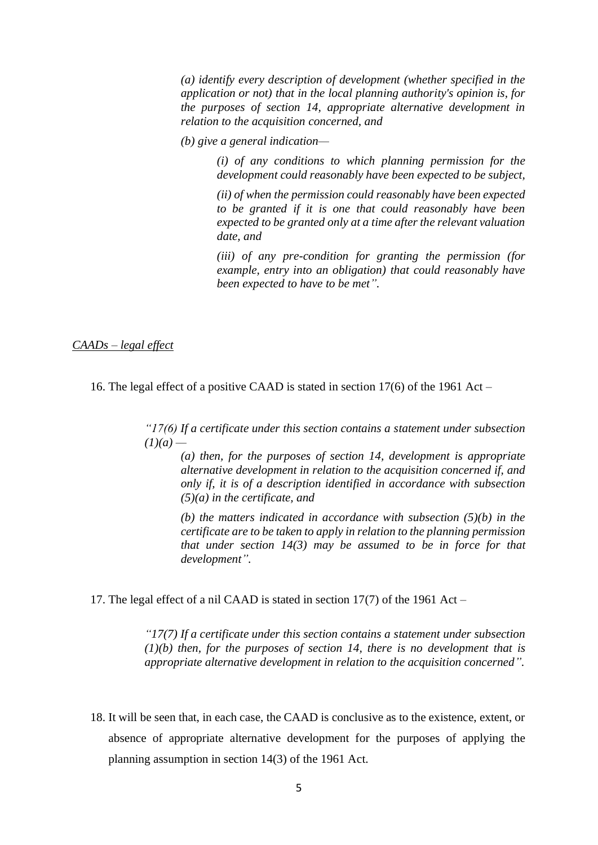*(a) identify every description of development (whether specified in the application or not) that in the local planning authority's opinion is, for the purposes of section 14, appropriate alternative development in relation to the acquisition concerned, and*

*(b) give a general indication—*

*(i) of any conditions to which planning permission for the development could reasonably have been expected to be subject,*

*(ii) of when the permission could reasonably have been expected to be granted if it is one that could reasonably have been expected to be granted only at a time after the relevant valuation date, and*

*(iii) of any pre-condition for granting the permission (for example, entry into an obligation) that could reasonably have been expected to have to be met".*

### *CAADs – legal effect*

16. The legal effect of a positive CAAD is stated in section 17(6) of the 1961 Act –

*"17(6) If a certificate under this section contains a statement under subsection*   $(1)(a)$  —

*(a) then, for the purposes of section 14, development is appropriate alternative development in relation to the acquisition concerned if, and only if, it is of a description identified in accordance with subsection (5)(a) in the certificate, and*

*(b) the matters indicated in accordance with subsection (5)(b) in the certificate are to be taken to apply in relation to the planning permission that under section 14(3) may be assumed to be in force for that development".*

17. The legal effect of a nil CAAD is stated in section 17(7) of the 1961 Act –

*"17(7) If a certificate under this section contains a statement under subsection (1)(b) then, for the purposes of section 14, there is no development that is appropriate alternative development in relation to the acquisition concerned".*

18. It will be seen that, in each case, the CAAD is conclusive as to the existence, extent, or absence of appropriate alternative development for the purposes of applying the planning assumption in section 14(3) of the 1961 Act.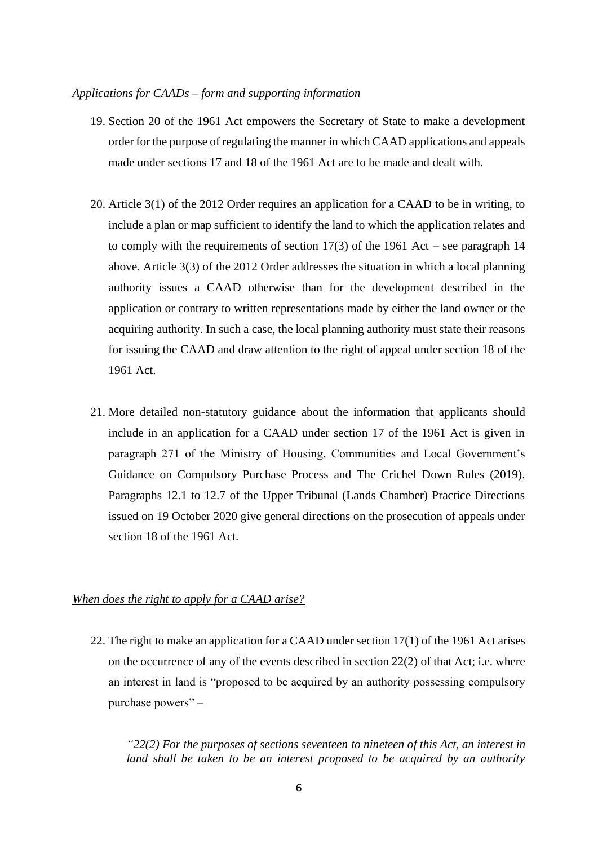#### *Applications for CAADs – form and supporting information*

- 19. Section 20 of the 1961 Act empowers the Secretary of State to make a development order for the purpose of regulating the manner in which CAAD applications and appeals made under sections 17 and 18 of the 1961 Act are to be made and dealt with.
- 20. Article 3(1) of the 2012 Order requires an application for a CAAD to be in writing, to include a plan or map sufficient to identify the land to which the application relates and to comply with the requirements of section 17(3) of the 1961 Act – see paragraph 14 above. Article 3(3) of the 2012 Order addresses the situation in which a local planning authority issues a CAAD otherwise than for the development described in the application or contrary to written representations made by either the land owner or the acquiring authority. In such a case, the local planning authority must state their reasons for issuing the CAAD and draw attention to the right of appeal under section 18 of the 1961 Act.
- 21. More detailed non-statutory guidance about the information that applicants should include in an application for a CAAD under section 17 of the 1961 Act is given in paragraph 271 of the Ministry of Housing, Communities and Local Government's Guidance on Compulsory Purchase Process and The Crichel Down Rules (2019). Paragraphs 12.1 to 12.7 of the Upper Tribunal (Lands Chamber) Practice Directions issued on 19 October 2020 give general directions on the prosecution of appeals under section 18 of the 1961 Act.

# *When does the right to apply for a CAAD arise?*

22. The right to make an application for a CAAD under section 17(1) of the 1961 Act arises on the occurrence of any of the events described in section  $22(2)$  of that Act; i.e. where an interest in land is "proposed to be acquired by an authority possessing compulsory purchase powers" –

*"22(2) For the purposes of sections seventeen to nineteen of this Act, an interest in land shall be taken to be an interest proposed to be acquired by an authority*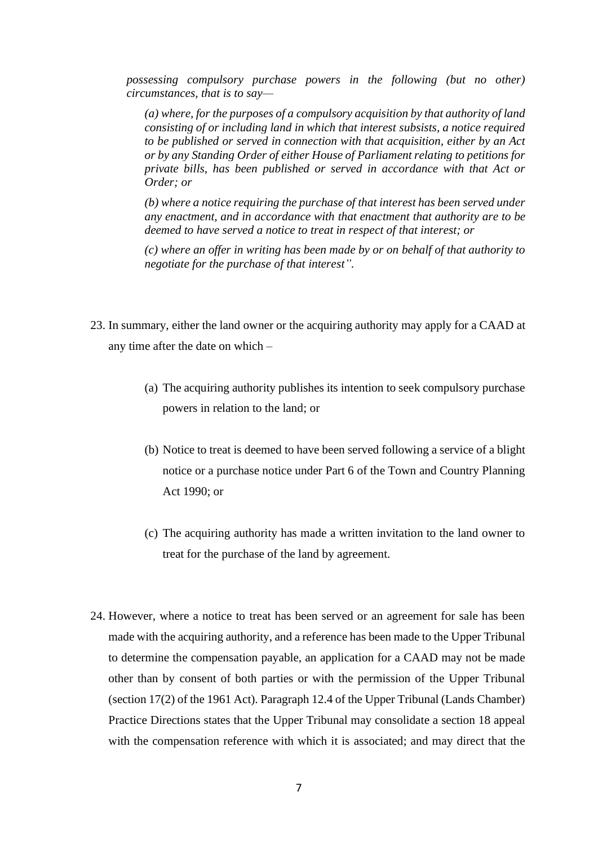*possessing compulsory purchase powers in the following (but no other) circumstances, that is to say—*

*(a) where, for the purposes of a compulsory acquisition by that authority of land consisting of or including land in which that interest subsists, a notice required to be published or served in connection with that acquisition, either by an Act or by any Standing Order of either House of Parliament relating to petitions for private bills, has been published or served in accordance with that Act or Order; or*

*(b) where a notice requiring the purchase of that interest has been served under any enactment, and in accordance with that enactment that authority are to be deemed to have served a notice to treat in respect of that interest; or*

*(c) where an offer in writing has been made by or on behalf of that authority to negotiate for the purchase of that interest".*

- 23. In summary, either the land owner or the acquiring authority may apply for a CAAD at any time after the date on which –
	- (a) The acquiring authority publishes its intention to seek compulsory purchase powers in relation to the land; or
	- (b) Notice to treat is deemed to have been served following a service of a blight notice or a purchase notice under Part 6 of the Town and Country Planning Act 1990; or
	- (c) The acquiring authority has made a written invitation to the land owner to treat for the purchase of the land by agreement.
- 24. However, where a notice to treat has been served or an agreement for sale has been made with the acquiring authority, and a reference has been made to the Upper Tribunal to determine the compensation payable, an application for a CAAD may not be made other than by consent of both parties or with the permission of the Upper Tribunal (section 17(2) of the 1961 Act). Paragraph 12.4 of the Upper Tribunal (Lands Chamber) Practice Directions states that the Upper Tribunal may consolidate a section 18 appeal with the compensation reference with which it is associated; and may direct that the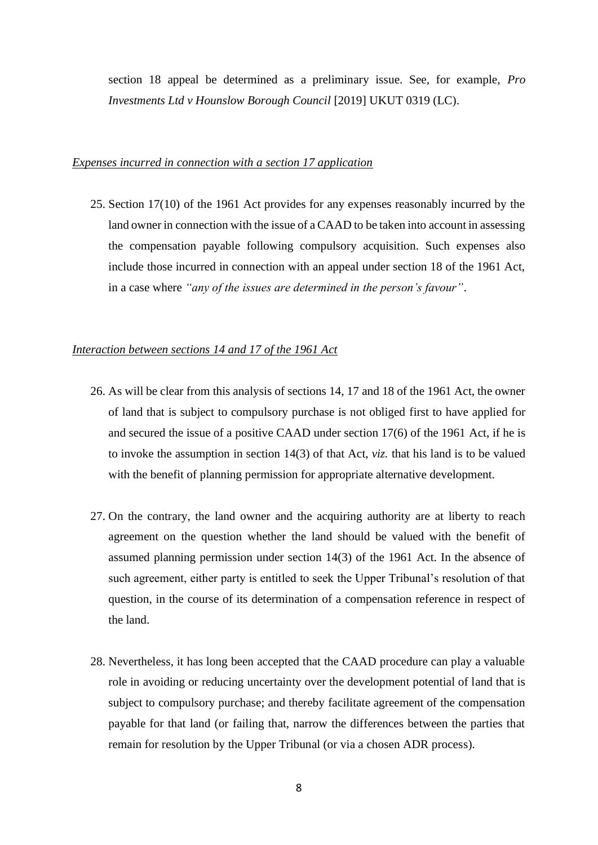section 18 appeal be determined as a preliminary issue. See, for example, *Pro Investments Ltd v Hounslow Borough Council* [2019] UKUT 0319 (LC).

#### *Expenses incurred in connection with a section 17 application*

25. Section 17(10) of the 1961 Act provides for any expenses reasonably incurred by the land owner in connection with the issue of a CAAD to be taken into account in assessing the compensation payable following compulsory acquisition. Such expenses also include those incurred in connection with an appeal under section 18 of the 1961 Act, in a case where *"any of the issues are determined in the person's favour"*.

#### *Interaction between sections 14 and 17 of the 1961 Act*

- 26. As will be clear from this analysis of sections 14, 17 and 18 of the 1961 Act, the owner of land that is subject to compulsory purchase is not obliged first to have applied for and secured the issue of a positive CAAD under section 17(6) of the 1961 Act, if he is to invoke the assumption in section 14(3) of that Act, *viz.* that his land is to be valued with the benefit of planning permission for appropriate alternative development.
- 27. On the contrary, the land owner and the acquiring authority are at liberty to reach agreement on the question whether the land should be valued with the benefit of assumed planning permission under section 14(3) of the 1961 Act. In the absence of such agreement, either party is entitled to seek the Upper Tribunal's resolution of that question, in the course of its determination of a compensation reference in respect of the land.
- 28. Nevertheless, it has long been accepted that the CAAD procedure can play a valuable role in avoiding or reducing uncertainty over the development potential of land that is subject to compulsory purchase; and thereby facilitate agreement of the compensation payable for that land (or failing that, narrow the differences between the parties that remain for resolution by the Upper Tribunal (or via a chosen ADR process).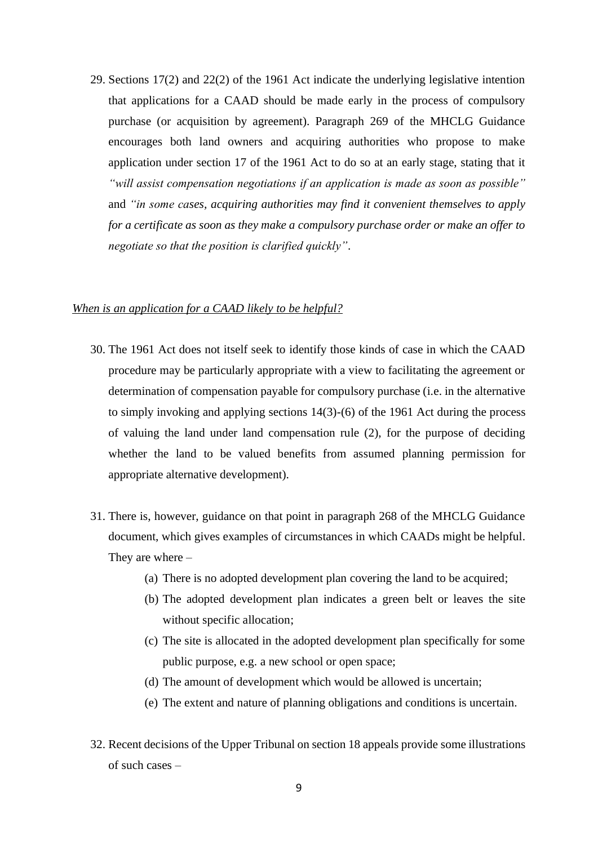29. Sections 17(2) and 22(2) of the 1961 Act indicate the underlying legislative intention that applications for a CAAD should be made early in the process of compulsory purchase (or acquisition by agreement). Paragraph 269 of the MHCLG Guidance encourages both land owners and acquiring authorities who propose to make application under section 17 of the 1961 Act to do so at an early stage, stating that it *"will assist compensation negotiations if an application is made as soon as possible"* and *"in some cases, acquiring authorities may find it convenient themselves to apply for a certificate as soon as they make a compulsory purchase order or make an offer to negotiate so that the position is clarified quickly"*.

#### *When is an application for a CAAD likely to be helpful?*

- 30. The 1961 Act does not itself seek to identify those kinds of case in which the CAAD procedure may be particularly appropriate with a view to facilitating the agreement or determination of compensation payable for compulsory purchase (i.e. in the alternative to simply invoking and applying sections 14(3)-(6) of the 1961 Act during the process of valuing the land under land compensation rule (2), for the purpose of deciding whether the land to be valued benefits from assumed planning permission for appropriate alternative development).
- 31. There is, however, guidance on that point in paragraph 268 of the MHCLG Guidance document, which gives examples of circumstances in which CAADs might be helpful. They are where –
	- (a) There is no adopted development plan covering the land to be acquired;
	- (b) The adopted development plan indicates a green belt or leaves the site without specific allocation;
	- (c) The site is allocated in the adopted development plan specifically for some public purpose, e.g. a new school or open space;
	- (d) The amount of development which would be allowed is uncertain;
	- (e) The extent and nature of planning obligations and conditions is uncertain.
- 32. Recent decisions of the Upper Tribunal on section 18 appeals provide some illustrations of such cases –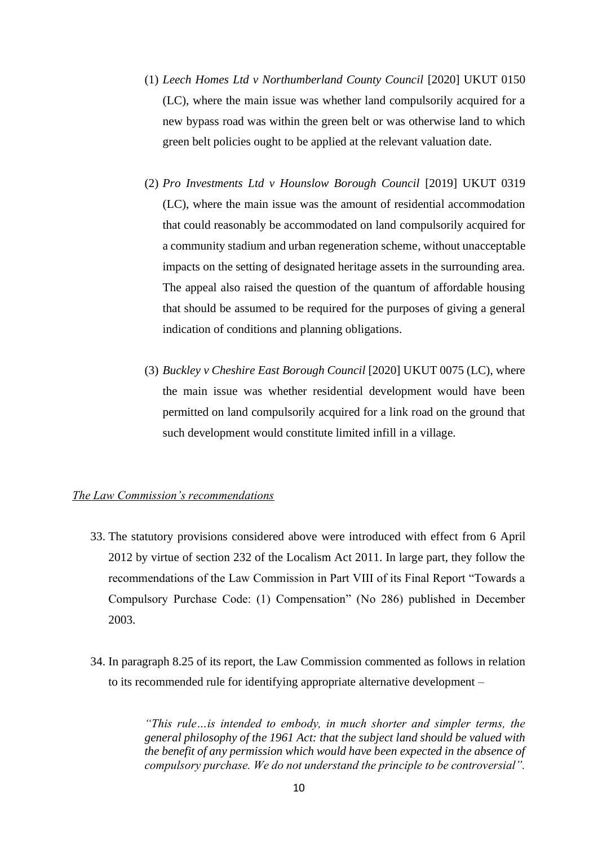- (1) *Leech Homes Ltd v Northumberland County Council* [2020] UKUT 0150 (LC), where the main issue was whether land compulsorily acquired for a new bypass road was within the green belt or was otherwise land to which green belt policies ought to be applied at the relevant valuation date.
- (2) *Pro Investments Ltd v Hounslow Borough Council* [2019] UKUT 0319 (LC), where the main issue was the amount of residential accommodation that could reasonably be accommodated on land compulsorily acquired for a community stadium and urban regeneration scheme, without unacceptable impacts on the setting of designated heritage assets in the surrounding area. The appeal also raised the question of the quantum of affordable housing that should be assumed to be required for the purposes of giving a general indication of conditions and planning obligations.
- (3) *Buckley v Cheshire East Borough Council* [2020] UKUT 0075 (LC), where the main issue was whether residential development would have been permitted on land compulsorily acquired for a link road on the ground that such development would constitute limited infill in a village.

## *The Law Commission's recommendations*

- 33. The statutory provisions considered above were introduced with effect from 6 April 2012 by virtue of section 232 of the Localism Act 2011. In large part, they follow the recommendations of the Law Commission in Part VIII of its Final Report "Towards a Compulsory Purchase Code: (1) Compensation" (No 286) published in December 2003.
- 34. In paragraph 8.25 of its report, the Law Commission commented as follows in relation to its recommended rule for identifying appropriate alternative development –

*"This rule…is intended to embody, in much shorter and simpler terms, the general philosophy of the 1961 Act: that the subject land should be valued with the benefit of any permission which would have been expected in the absence of compulsory purchase. We do not understand the principle to be controversial".*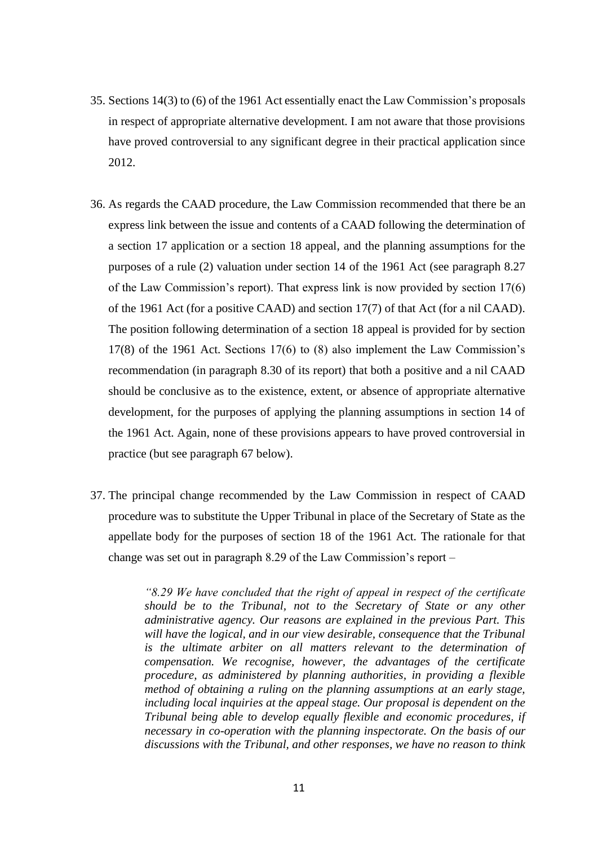- 35. Sections 14(3) to (6) of the 1961 Act essentially enact the Law Commission's proposals in respect of appropriate alternative development. I am not aware that those provisions have proved controversial to any significant degree in their practical application since 2012.
- 36. As regards the CAAD procedure, the Law Commission recommended that there be an express link between the issue and contents of a CAAD following the determination of a section 17 application or a section 18 appeal, and the planning assumptions for the purposes of a rule (2) valuation under section 14 of the 1961 Act (see paragraph 8.27 of the Law Commission's report). That express link is now provided by section 17(6) of the 1961 Act (for a positive CAAD) and section 17(7) of that Act (for a nil CAAD). The position following determination of a section 18 appeal is provided for by section 17(8) of the 1961 Act. Sections 17(6) to (8) also implement the Law Commission's recommendation (in paragraph 8.30 of its report) that both a positive and a nil CAAD should be conclusive as to the existence, extent, or absence of appropriate alternative development, for the purposes of applying the planning assumptions in section 14 of the 1961 Act. Again, none of these provisions appears to have proved controversial in practice (but see paragraph 67 below).
- 37. The principal change recommended by the Law Commission in respect of CAAD procedure was to substitute the Upper Tribunal in place of the Secretary of State as the appellate body for the purposes of section 18 of the 1961 Act. The rationale for that change was set out in paragraph 8.29 of the Law Commission's report –

*"8.29 We have concluded that the right of appeal in respect of the certificate should be to the Tribunal, not to the Secretary of State or any other administrative agency. Our reasons are explained in the previous Part. This will have the logical, and in our view desirable, consequence that the Tribunal is the ultimate arbiter on all matters relevant to the determination of compensation. We recognise, however, the advantages of the certificate procedure, as administered by planning authorities, in providing a flexible method of obtaining a ruling on the planning assumptions at an early stage, including local inquiries at the appeal stage. Our proposal is dependent on the Tribunal being able to develop equally flexible and economic procedures, if necessary in co-operation with the planning inspectorate. On the basis of our discussions with the Tribunal, and other responses, we have no reason to think*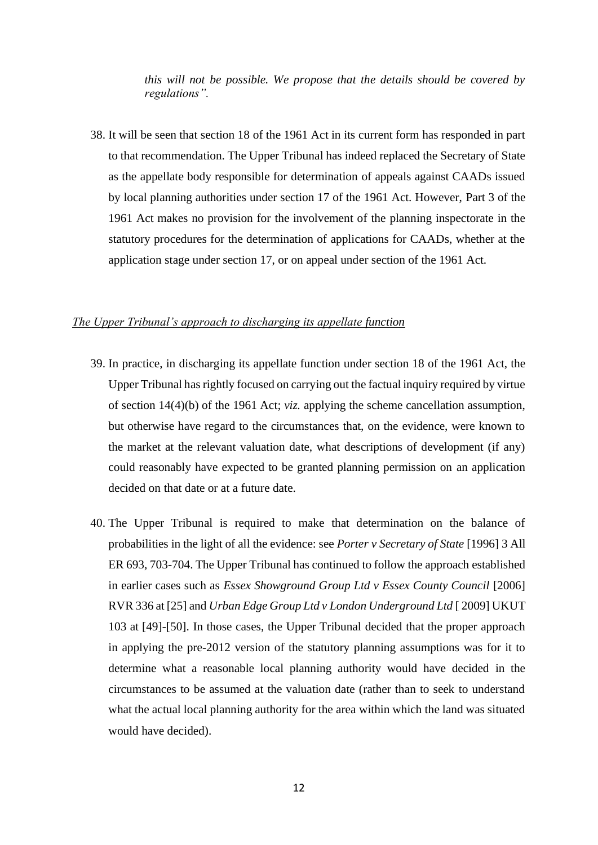*this will not be possible. We propose that the details should be covered by regulations".*

38. It will be seen that section 18 of the 1961 Act in its current form has responded in part to that recommendation. The Upper Tribunal has indeed replaced the Secretary of State as the appellate body responsible for determination of appeals against CAADs issued by local planning authorities under section 17 of the 1961 Act. However, Part 3 of the 1961 Act makes no provision for the involvement of the planning inspectorate in the statutory procedures for the determination of applications for CAADs, whether at the application stage under section 17, or on appeal under section of the 1961 Act.

#### *The Upper Tribunal's approach to discharging its appellate function*

- 39. In practice, in discharging its appellate function under section 18 of the 1961 Act, the Upper Tribunal has rightly focused on carrying out the factual inquiry required by virtue of section 14(4)(b) of the 1961 Act; *viz.* applying the scheme cancellation assumption, but otherwise have regard to the circumstances that, on the evidence, were known to the market at the relevant valuation date, what descriptions of development (if any) could reasonably have expected to be granted planning permission on an application decided on that date or at a future date.
- 40. The Upper Tribunal is required to make that determination on the balance of probabilities in the light of all the evidence: see *Porter v Secretary of State* [1996] 3 All ER 693, 703-704. The Upper Tribunal has continued to follow the approach established in earlier cases such as *Essex Showground Group Ltd v Essex County Council* [2006] RVR 336 at [25] and *Urban Edge Group Ltd v London Underground Ltd* [ 2009] UKUT 103 at [49]-[50]. In those cases, the Upper Tribunal decided that the proper approach in applying the pre-2012 version of the statutory planning assumptions was for it to determine what a reasonable local planning authority would have decided in the circumstances to be assumed at the valuation date (rather than to seek to understand what the actual local planning authority for the area within which the land was situated would have decided).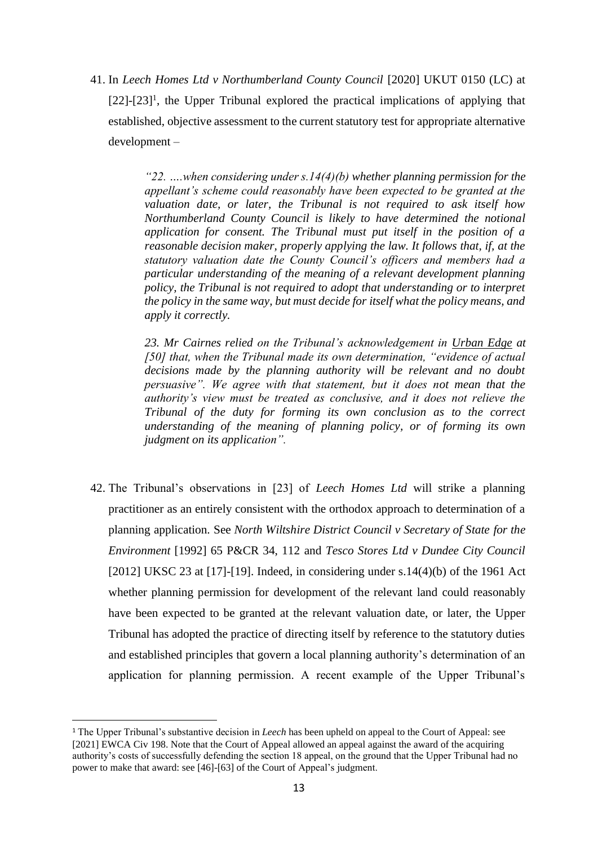41. In *Leech Homes Ltd v Northumberland County Council* [2020] UKUT 0150 (LC) at [22]-[23]<sup>1</sup>, the Upper Tribunal explored the practical implications of applying that established, objective assessment to the current statutory test for appropriate alternative development –

> *"22. ….when considering under s.14(4)(b) whether planning permission for the appellant's scheme could reasonably have been expected to be granted at the valuation date, or later, the Tribunal is not required to ask itself how Northumberland County Council is likely to have determined the notional application for consent. The Tribunal must put itself in the position of a reasonable decision maker, properly applying the law. It follows that, if, at the statutory valuation date the County Council's officers and members had a particular understanding of the meaning of a relevant development planning policy, the Tribunal is not required to adopt that understanding or to interpret the policy in the same way, but must decide for itself what the policy means, and apply it correctly.*

> *23. Mr Cairnes relied on the Tribunal's acknowledgement in Urban Edge at [50] that, when the Tribunal made its own determination, "evidence of actual decisions made by the planning authority will be relevant and no doubt persuasive". We agree with that statement, but it does not mean that the authority's view must be treated as conclusive, and it does not relieve the Tribunal of the duty for forming its own conclusion as to the correct understanding of the meaning of planning policy, or of forming its own judgment on its application".*

42. The Tribunal's observations in [23] of *Leech Homes Ltd* will strike a planning practitioner as an entirely consistent with the orthodox approach to determination of a planning application. See *North Wiltshire District Council v Secretary of State for the Environment* [1992] 65 P&CR 34, 112 and *Tesco Stores Ltd v Dundee City Council*  [2012] UKSC 23 at  $[17]-[19]$ . Indeed, in considering under s.14(4)(b) of the 1961 Act whether planning permission for development of the relevant land could reasonably have been expected to be granted at the relevant valuation date, or later, the Upper Tribunal has adopted the practice of directing itself by reference to the statutory duties and established principles that govern a local planning authority's determination of an application for planning permission. A recent example of the Upper Tribunal's

<sup>1</sup> The Upper Tribunal's substantive decision in *Leech* has been upheld on appeal to the Court of Appeal: see [2021] EWCA Civ 198. Note that the Court of Appeal allowed an appeal against the award of the acquiring authority's costs of successfully defending the section 18 appeal, on the ground that the Upper Tribunal had no power to make that award: see [46]-[63] of the Court of Appeal's judgment.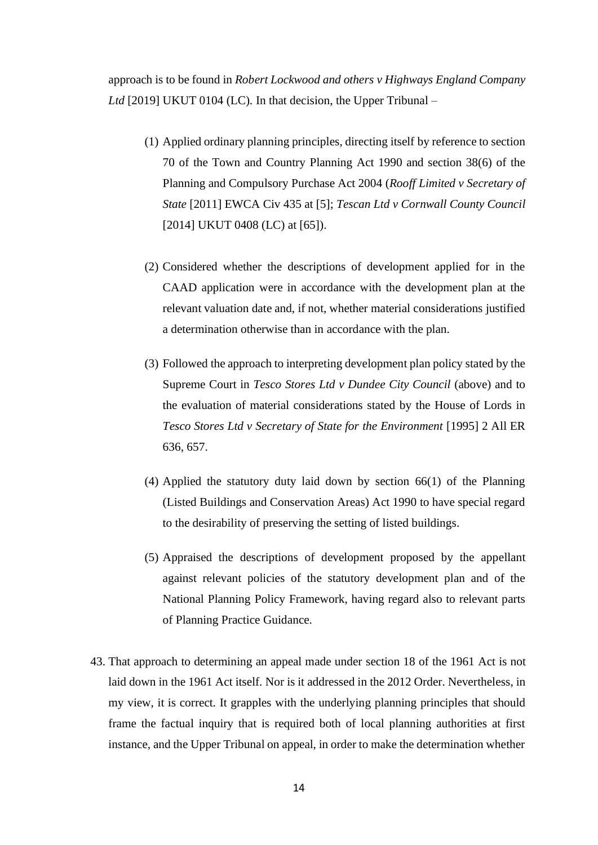approach is to be found in *Robert Lockwood and others v Highways England Company Ltd* [2019] UKUT 0104 (LC)*.* In that decision, the Upper Tribunal –

- (1) Applied ordinary planning principles, directing itself by reference to section 70 of the Town and Country Planning Act 1990 and section 38(6) of the Planning and Compulsory Purchase Act 2004 (*Rooff Limited v Secretary of State* [2011] EWCA Civ 435 at [5]; *Tescan Ltd v Cornwall County Council*  [2014] UKUT 0408 (LC) at [65]).
- (2) Considered whether the descriptions of development applied for in the CAAD application were in accordance with the development plan at the relevant valuation date and, if not, whether material considerations justified a determination otherwise than in accordance with the plan.
- (3) Followed the approach to interpreting development plan policy stated by the Supreme Court in *Tesco Stores Ltd v Dundee City Council* (above) and to the evaluation of material considerations stated by the House of Lords in *Tesco Stores Ltd v Secretary of State for the Environment* [1995] 2 All ER 636, 657.
- (4) Applied the statutory duty laid down by section 66(1) of the Planning (Listed Buildings and Conservation Areas) Act 1990 to have special regard to the desirability of preserving the setting of listed buildings.
- (5) Appraised the descriptions of development proposed by the appellant against relevant policies of the statutory development plan and of the National Planning Policy Framework, having regard also to relevant parts of Planning Practice Guidance.
- 43. That approach to determining an appeal made under section 18 of the 1961 Act is not laid down in the 1961 Act itself. Nor is it addressed in the 2012 Order. Nevertheless, in my view, it is correct. It grapples with the underlying planning principles that should frame the factual inquiry that is required both of local planning authorities at first instance, and the Upper Tribunal on appeal, in order to make the determination whether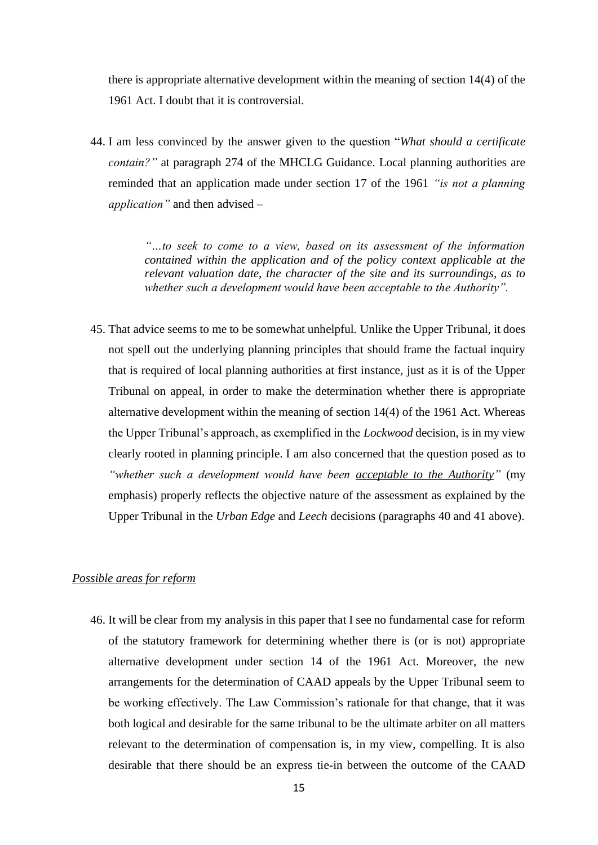there is appropriate alternative development within the meaning of section 14(4) of the 1961 Act. I doubt that it is controversial.

44. I am less convinced by the answer given to the question "*What should a certificate contain?"* at paragraph 274 of the MHCLG Guidance. Local planning authorities are reminded that an application made under section 17 of the 1961 *"is not a planning application"* and then advised –

> *"…to seek to come to a view, based on its assessment of the information contained within the application and of the policy context applicable at the relevant valuation date, the character of the site and its surroundings, as to whether such a development would have been acceptable to the Authority".*

45. That advice seems to me to be somewhat unhelpful. Unlike the Upper Tribunal, it does not spell out the underlying planning principles that should frame the factual inquiry that is required of local planning authorities at first instance, just as it is of the Upper Tribunal on appeal, in order to make the determination whether there is appropriate alternative development within the meaning of section 14(4) of the 1961 Act. Whereas the Upper Tribunal's approach, as exemplified in the *Lockwood* decision, is in my view clearly rooted in planning principle. I am also concerned that the question posed as to *"whether such a development would have been acceptable to the Authority"* (my emphasis) properly reflects the objective nature of the assessment as explained by the Upper Tribunal in the *Urban Edge* and *Leech* decisions (paragraphs 40 and 41 above).

# *Possible areas for reform*

46. It will be clear from my analysis in this paper that I see no fundamental case for reform of the statutory framework for determining whether there is (or is not) appropriate alternative development under section 14 of the 1961 Act. Moreover, the new arrangements for the determination of CAAD appeals by the Upper Tribunal seem to be working effectively. The Law Commission's rationale for that change, that it was both logical and desirable for the same tribunal to be the ultimate arbiter on all matters relevant to the determination of compensation is, in my view, compelling. It is also desirable that there should be an express tie-in between the outcome of the CAAD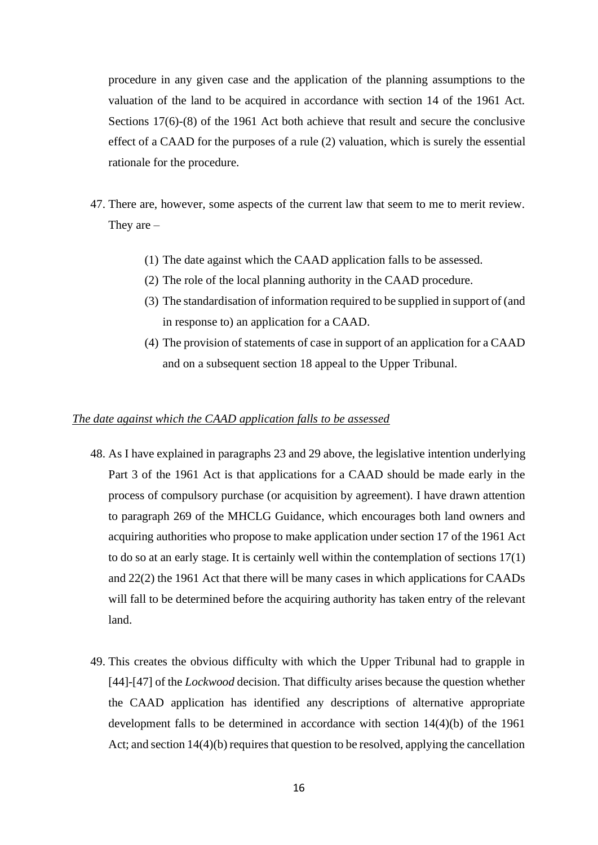procedure in any given case and the application of the planning assumptions to the valuation of the land to be acquired in accordance with section 14 of the 1961 Act. Sections 17(6)-(8) of the 1961 Act both achieve that result and secure the conclusive effect of a CAAD for the purposes of a rule (2) valuation, which is surely the essential rationale for the procedure.

- 47. There are, however, some aspects of the current law that seem to me to merit review. They are –
	- (1) The date against which the CAAD application falls to be assessed.
	- (2) The role of the local planning authority in the CAAD procedure.
	- (3) The standardisation of information required to be supplied in support of (and in response to) an application for a CAAD.
	- (4) The provision of statements of case in support of an application for a CAAD and on a subsequent section 18 appeal to the Upper Tribunal.

#### *The date against which the CAAD application falls to be assessed*

- 48. As I have explained in paragraphs 23 and 29 above, the legislative intention underlying Part 3 of the 1961 Act is that applications for a CAAD should be made early in the process of compulsory purchase (or acquisition by agreement). I have drawn attention to paragraph 269 of the MHCLG Guidance, which encourages both land owners and acquiring authorities who propose to make application under section 17 of the 1961 Act to do so at an early stage. It is certainly well within the contemplation of sections 17(1) and 22(2) the 1961 Act that there will be many cases in which applications for CAADs will fall to be determined before the acquiring authority has taken entry of the relevant land.
- 49. This creates the obvious difficulty with which the Upper Tribunal had to grapple in [44]-[47] of the *Lockwood* decision. That difficulty arises because the question whether the CAAD application has identified any descriptions of alternative appropriate development falls to be determined in accordance with section 14(4)(b) of the 1961 Act; and section 14(4)(b) requires that question to be resolved, applying the cancellation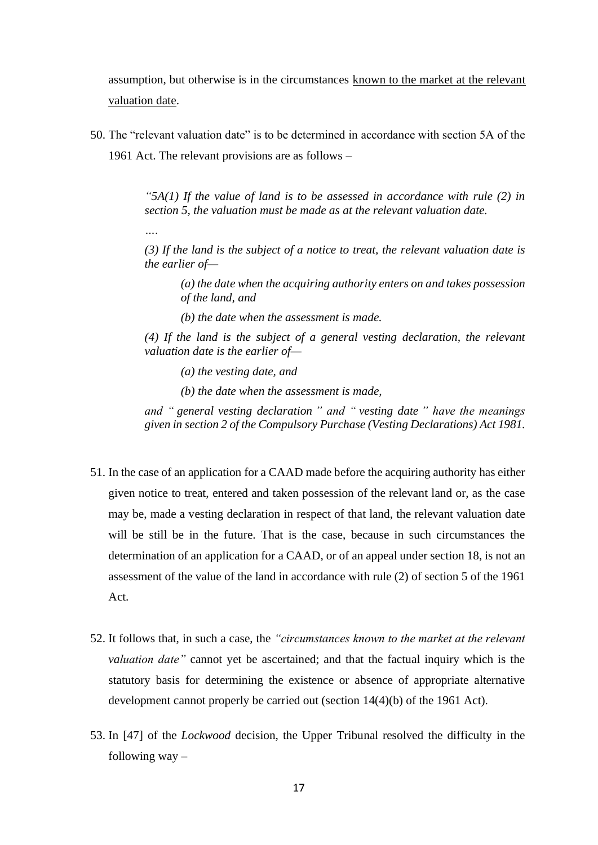assumption, but otherwise is in the circumstances known to the market at the relevant valuation date.

50. The "relevant valuation date" is to be determined in accordance with section 5A of the 1961 Act. The relevant provisions are as follows –

> *"5A(1) If the value of land is to be assessed in accordance with rule (2) in section 5, the valuation must be made as at the relevant valuation date.*

> *(3) If the land is the subject of a notice to treat, the relevant valuation date is the earlier of—*

*(a) the date when the acquiring authority enters on and takes possession of the land, and*

*(b) the date when the assessment is made.*

*(4) If the land is the subject of a general vesting declaration, the relevant valuation date is the earlier of—*

*(a) the vesting date, and*

*….*

*(b) the date when the assessment is made,*

*and " general vesting declaration " and " vesting date " have the meanings given in section 2 of the Compulsory Purchase (Vesting Declarations) Act 1981.*

- 51. In the case of an application for a CAAD made before the acquiring authority has either given notice to treat, entered and taken possession of the relevant land or, as the case may be, made a vesting declaration in respect of that land, the relevant valuation date will be still be in the future. That is the case, because in such circumstances the determination of an application for a CAAD, or of an appeal under section 18, is not an assessment of the value of the land in accordance with rule (2) of section 5 of the 1961 Act.
- 52. It follows that, in such a case, the *"circumstances known to the market at the relevant valuation date"* cannot yet be ascertained; and that the factual inquiry which is the statutory basis for determining the existence or absence of appropriate alternative development cannot properly be carried out (section 14(4)(b) of the 1961 Act).
- 53. In [47] of the *Lockwood* decision, the Upper Tribunal resolved the difficulty in the following way –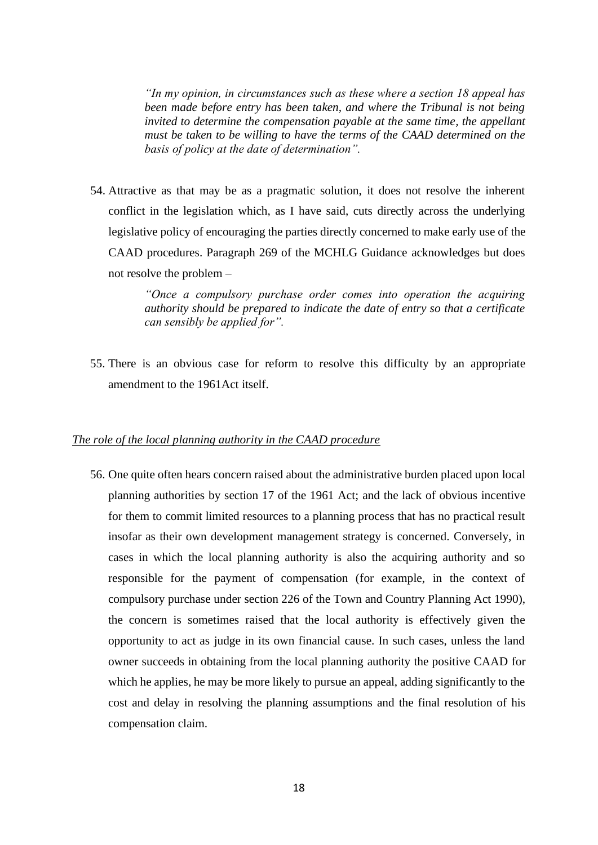*"In my opinion, in circumstances such as these where a section 18 appeal has been made before entry has been taken, and where the Tribunal is not being invited to determine the compensation payable at the same time, the appellant must be taken to be willing to have the terms of the CAAD determined on the basis of policy at the date of determination".*

54. Attractive as that may be as a pragmatic solution, it does not resolve the inherent conflict in the legislation which, as I have said, cuts directly across the underlying legislative policy of encouraging the parties directly concerned to make early use of the CAAD procedures. Paragraph 269 of the MCHLG Guidance acknowledges but does not resolve the problem –

> *"Once a compulsory purchase order comes into operation the acquiring authority should be prepared to indicate the date of entry so that a certificate can sensibly be applied for".*

55. There is an obvious case for reform to resolve this difficulty by an appropriate amendment to the 1961Act itself.

#### *The role of the local planning authority in the CAAD procedure*

56. One quite often hears concern raised about the administrative burden placed upon local planning authorities by section 17 of the 1961 Act; and the lack of obvious incentive for them to commit limited resources to a planning process that has no practical result insofar as their own development management strategy is concerned. Conversely, in cases in which the local planning authority is also the acquiring authority and so responsible for the payment of compensation (for example, in the context of compulsory purchase under section 226 of the Town and Country Planning Act 1990), the concern is sometimes raised that the local authority is effectively given the opportunity to act as judge in its own financial cause. In such cases, unless the land owner succeeds in obtaining from the local planning authority the positive CAAD for which he applies, he may be more likely to pursue an appeal, adding significantly to the cost and delay in resolving the planning assumptions and the final resolution of his compensation claim.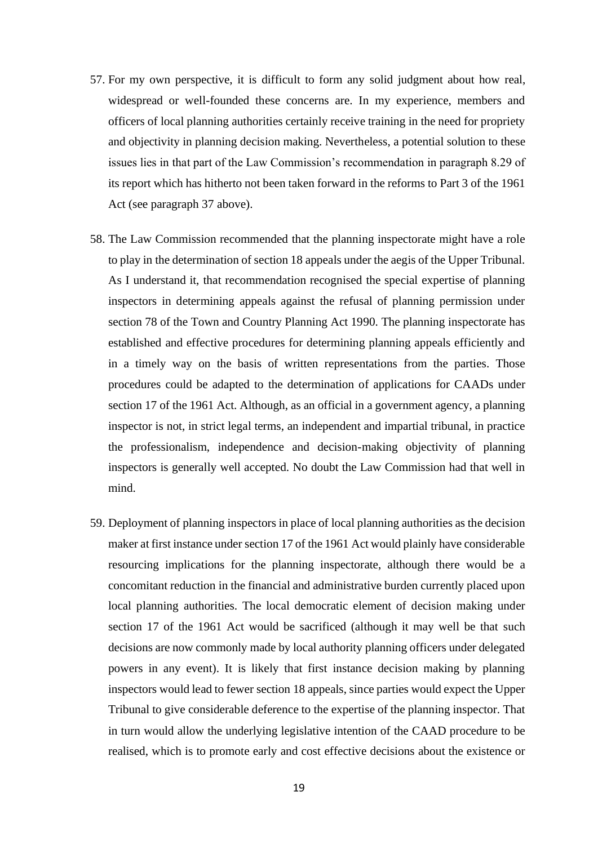- 57. For my own perspective, it is difficult to form any solid judgment about how real, widespread or well-founded these concerns are. In my experience, members and officers of local planning authorities certainly receive training in the need for propriety and objectivity in planning decision making. Nevertheless, a potential solution to these issues lies in that part of the Law Commission's recommendation in paragraph 8.29 of its report which has hitherto not been taken forward in the reforms to Part 3 of the 1961 Act (see paragraph 37 above).
- 58. The Law Commission recommended that the planning inspectorate might have a role to play in the determination of section 18 appeals under the aegis of the Upper Tribunal. As I understand it, that recommendation recognised the special expertise of planning inspectors in determining appeals against the refusal of planning permission under section 78 of the Town and Country Planning Act 1990. The planning inspectorate has established and effective procedures for determining planning appeals efficiently and in a timely way on the basis of written representations from the parties. Those procedures could be adapted to the determination of applications for CAADs under section 17 of the 1961 Act. Although, as an official in a government agency, a planning inspector is not, in strict legal terms, an independent and impartial tribunal, in practice the professionalism, independence and decision-making objectivity of planning inspectors is generally well accepted. No doubt the Law Commission had that well in mind.
- 59. Deployment of planning inspectors in place of local planning authorities as the decision maker at first instance under section 17 of the 1961 Act would plainly have considerable resourcing implications for the planning inspectorate, although there would be a concomitant reduction in the financial and administrative burden currently placed upon local planning authorities. The local democratic element of decision making under section 17 of the 1961 Act would be sacrificed (although it may well be that such decisions are now commonly made by local authority planning officers under delegated powers in any event). It is likely that first instance decision making by planning inspectors would lead to fewer section 18 appeals, since parties would expect the Upper Tribunal to give considerable deference to the expertise of the planning inspector. That in turn would allow the underlying legislative intention of the CAAD procedure to be realised, which is to promote early and cost effective decisions about the existence or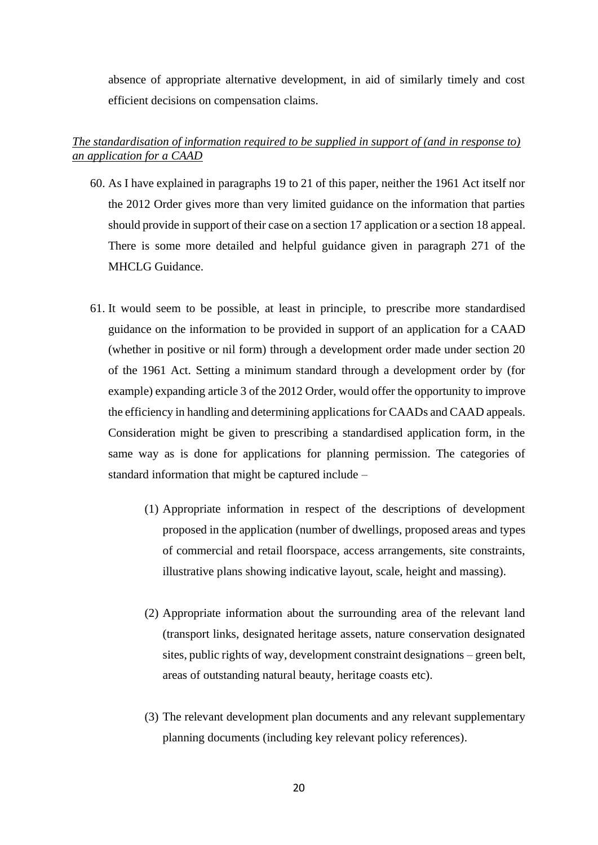absence of appropriate alternative development, in aid of similarly timely and cost efficient decisions on compensation claims.

# *The standardisation of information required to be supplied in support of (and in response to) an application for a CAAD*

- 60. As I have explained in paragraphs 19 to 21 of this paper, neither the 1961 Act itself nor the 2012 Order gives more than very limited guidance on the information that parties should provide in support of their case on a section 17 application or a section 18 appeal. There is some more detailed and helpful guidance given in paragraph 271 of the MHCLG Guidance.
- 61. It would seem to be possible, at least in principle, to prescribe more standardised guidance on the information to be provided in support of an application for a CAAD (whether in positive or nil form) through a development order made under section 20 of the 1961 Act. Setting a minimum standard through a development order by (for example) expanding article 3 of the 2012 Order, would offer the opportunity to improve the efficiency in handling and determining applications for CAADs and CAAD appeals. Consideration might be given to prescribing a standardised application form, in the same way as is done for applications for planning permission. The categories of standard information that might be captured include –
	- (1) Appropriate information in respect of the descriptions of development proposed in the application (number of dwellings, proposed areas and types of commercial and retail floorspace, access arrangements, site constraints, illustrative plans showing indicative layout, scale, height and massing).
	- (2) Appropriate information about the surrounding area of the relevant land (transport links, designated heritage assets, nature conservation designated sites, public rights of way, development constraint designations – green belt, areas of outstanding natural beauty, heritage coasts etc).
	- (3) The relevant development plan documents and any relevant supplementary planning documents (including key relevant policy references).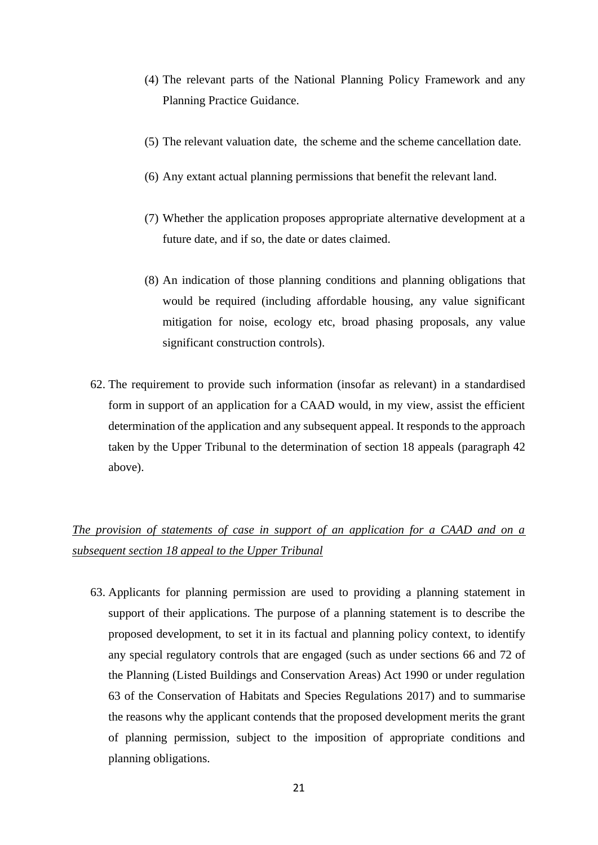- (4) The relevant parts of the National Planning Policy Framework and any Planning Practice Guidance.
- (5) The relevant valuation date, the scheme and the scheme cancellation date.
- (6) Any extant actual planning permissions that benefit the relevant land.
- (7) Whether the application proposes appropriate alternative development at a future date, and if so, the date or dates claimed.
- (8) An indication of those planning conditions and planning obligations that would be required (including affordable housing, any value significant mitigation for noise, ecology etc, broad phasing proposals, any value significant construction controls).
- 62. The requirement to provide such information (insofar as relevant) in a standardised form in support of an application for a CAAD would, in my view, assist the efficient determination of the application and any subsequent appeal. It responds to the approach taken by the Upper Tribunal to the determination of section 18 appeals (paragraph 42 above).

# *The provision of statements of case in support of an application for a CAAD and on a subsequent section 18 appeal to the Upper Tribunal*

63. Applicants for planning permission are used to providing a planning statement in support of their applications. The purpose of a planning statement is to describe the proposed development, to set it in its factual and planning policy context, to identify any special regulatory controls that are engaged (such as under sections 66 and 72 of the Planning (Listed Buildings and Conservation Areas) Act 1990 or under regulation 63 of the Conservation of Habitats and Species Regulations 2017) and to summarise the reasons why the applicant contends that the proposed development merits the grant of planning permission, subject to the imposition of appropriate conditions and planning obligations.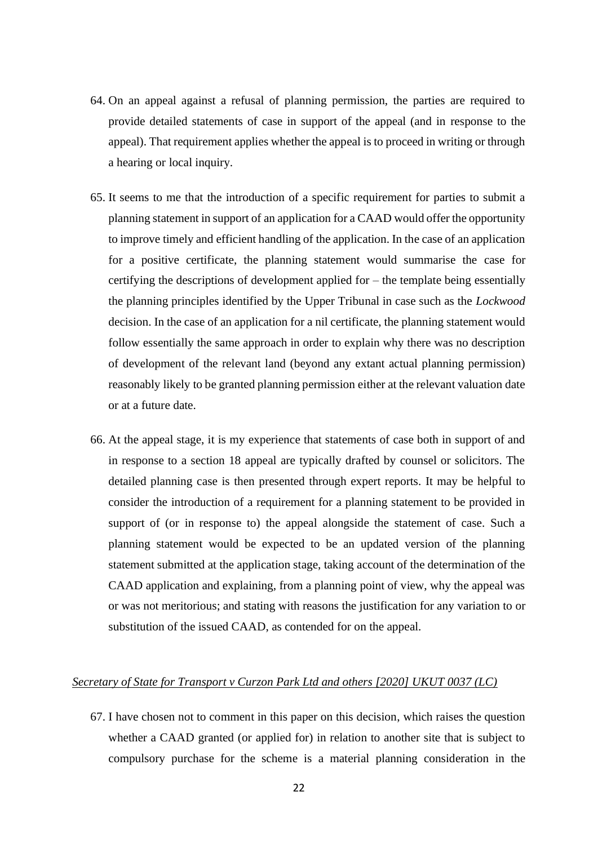- 64. On an appeal against a refusal of planning permission, the parties are required to provide detailed statements of case in support of the appeal (and in response to the appeal). That requirement applies whether the appeal is to proceed in writing or through a hearing or local inquiry.
- 65. It seems to me that the introduction of a specific requirement for parties to submit a planning statement in support of an application for a CAAD would offer the opportunity to improve timely and efficient handling of the application. In the case of an application for a positive certificate, the planning statement would summarise the case for certifying the descriptions of development applied for – the template being essentially the planning principles identified by the Upper Tribunal in case such as the *Lockwood*  decision. In the case of an application for a nil certificate, the planning statement would follow essentially the same approach in order to explain why there was no description of development of the relevant land (beyond any extant actual planning permission) reasonably likely to be granted planning permission either at the relevant valuation date or at a future date.
- 66. At the appeal stage, it is my experience that statements of case both in support of and in response to a section 18 appeal are typically drafted by counsel or solicitors. The detailed planning case is then presented through expert reports. It may be helpful to consider the introduction of a requirement for a planning statement to be provided in support of (or in response to) the appeal alongside the statement of case. Such a planning statement would be expected to be an updated version of the planning statement submitted at the application stage, taking account of the determination of the CAAD application and explaining, from a planning point of view, why the appeal was or was not meritorious; and stating with reasons the justification for any variation to or substitution of the issued CAAD, as contended for on the appeal.

## *Secretary of State for Transport v Curzon Park Ltd and others [2020] UKUT 0037 (LC)*

67. I have chosen not to comment in this paper on this decision, which raises the question whether a CAAD granted (or applied for) in relation to another site that is subject to compulsory purchase for the scheme is a material planning consideration in the